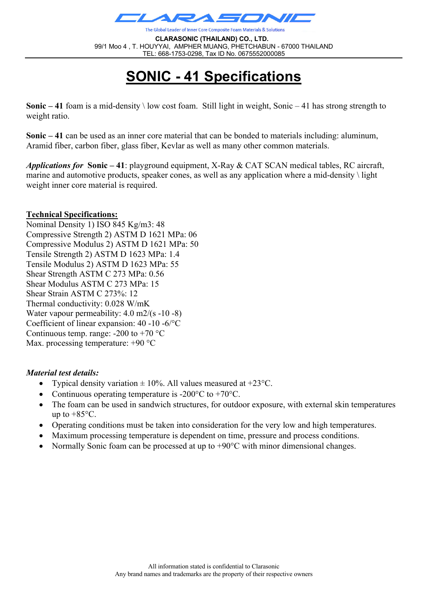

The Global Leader of Inner Core Composite Foam Materials & Solutions

**CLARASONIC (THAILAND) CO., LTD.** 99/1 Moo 4 , T. HOUYYAI, AMPHER MUANG, PHETCHABUN - 67000 THAILAND TEL: 668-1753-0298, Tax ID No. 0675552000085

# **SONIC - 41 Specifications**

**Sonic – 41** foam is a mid-density \ low cost foam. Still light in weight, Sonic – 41 has strong strength to weight ratio.

**Sonic – 41** can be used as an inner core material that can be bonded to materials including: aluminum, Aramid fiber, carbon fiber, glass fiber, Kevlar as well as many other common materials.

*Applications for* **Sonic – 41**: playground equipment, X-Ray & CAT SCAN medical tables, RC aircraft, marine and automotive products, speaker cones, as well as any application where a mid-density  $\iint$  light weight inner core material is required.

#### **Technical Specifications:**

Nominal Density 1) ISO 845 Kg/m3: 48 Compressive Strength 2) ASTM D 1621 MPa: 06 Compressive Modulus 2) ASTM D 1621 MPa: 50 Tensile Strength 2) ASTM D 1623 MPa: 1.4 Tensile Modulus 2) ASTM D 1623 MPa: 55 Shear Strength ASTM C 273 MPa: 0.56 Shear Modulus ASTM C 273 MPa: 15 Shear Strain ASTM C 273%: 12 Thermal conductivity: 0.028 W/mK Water vapour permeability: 4.0 m2/(s -10 -8) Coefficient of linear expansion: 40 -10 -6/°C Continuous temp. range:  $-200$  to  $+70$  °C Max. processing temperature: +90 °C

#### *Material test details:*

- Typical density variation  $\pm$  10%. All values measured at +23 $^{\circ}$ C.
- Continuous operating temperature is -200 $\degree$ C to +70 $\degree$ C.
- The foam can be used in sandwich structures, for outdoor exposure, with external skin temperatures up to  $+85^{\circ}$ C.
- Operating conditions must be taken into consideration for the very low and high temperatures.
- Maximum processing temperature is dependent on time, pressure and process conditions.
- Normally Sonic foam can be processed at up to +90°C with minor dimensional changes.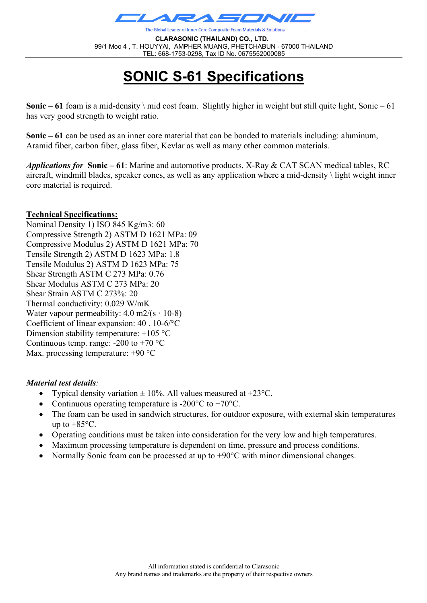

The Global Leader of Inner Core Composite Foam Materials & Solutions

**CLARASONIC (THAILAND) CO., LTD.** 99/1 Moo 4 , T. HOUYYAI, AMPHER MUANG, PHETCHABUN - 67000 THAILAND TEL: 668-1753-0298, Tax ID No. 0675552000085

# **SONIC S-61 Specifications**

**Sonic – 61** foam is a mid-density \ mid cost foam. Slightly higher in weight but still quite light, Sonic – 61 has very good strength to weight ratio.

**Sonic – 61** can be used as an inner core material that can be bonded to materials including: aluminum, Aramid fiber, carbon fiber, glass fiber, Kevlar as well as many other common materials.

*Applications for* **Sonic – 61**: Marine and automotive products, X-Ray & CAT SCAN medical tables, RC aircraft, windmill blades, speaker cones, as well as any application where a mid-density \ light weight inner core material is required.

#### **Technical Specifications:**

Nominal Density 1) ISO 845 Kg/m3: 60 Compressive Strength 2) ASTM D 1621 MPa: 09 Compressive Modulus 2) ASTM D 1621 MPa: 70 Tensile Strength 2) ASTM D 1623 MPa: 1.8 Tensile Modulus 2) ASTM D 1623 MPa: 75 Shear Strength ASTM C 273 MPa: 0.76 Shear Modulus ASTM C 273 MPa: 20 Shear Strain ASTM C 273%: 20 Thermal conductivity: 0.029 W/mK Water vapour permeability:  $4.0 \text{ m2/(s} \cdot 10\text{-}8)$ Coefficient of linear expansion: 40 . 10-6/°C Dimension stability temperature: +105 °C Continuous temp. range:  $-200$  to  $+70$  °C Max. processing temperature: +90 °C

#### *Material test details:*

- Typical density variation  $\pm$  10%. All values measured at +23°C.
- Continuous operating temperature is -200 $\degree$ C to +70 $\degree$ C.
- The foam can be used in sandwich structures, for outdoor exposure, with external skin temperatures up to  $+85^{\circ}$ C.
- Operating conditions must be taken into consideration for the very low and high temperatures.
- Maximum processing temperature is dependent on time, pressure and process conditions.
- Normally Sonic foam can be processed at up to +90°C with minor dimensional changes.